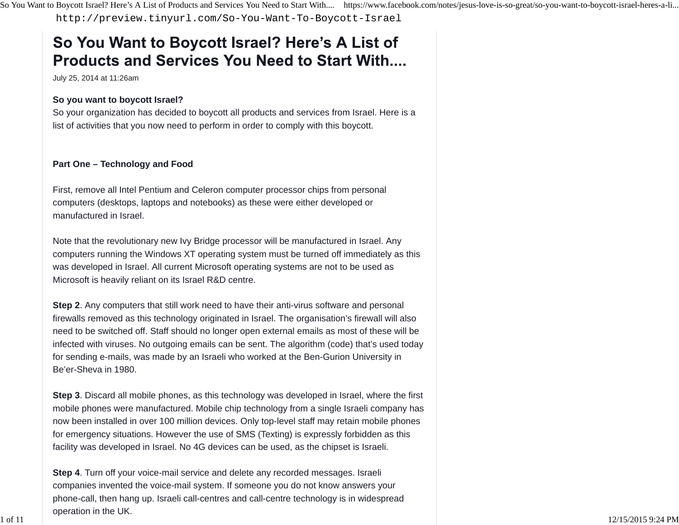<http://preview.tinyurl.com/So-You-Want-To-Boycott-Israel>

# So You Want to Boycott Israel? Here's A List of **Products and Services You Need to Start With....**

July 25, 2014 at 11:26am

## **So you want to boycott Israel?**

So your organization has decided to boycott all products and services from Israel. Here is a list of activities that you now need to perform in order to comply with this boycott.

## **Part One – Technology and Food**

First, remove all Intel Pentium and Celeron computer processor chips from personal computers (desktops, laptops and notebooks) as these were either developed or manufactured in Israel.

Note that the revolutionary new Ivy Bridge processor will be manufactured in Israel. Any computers running the Windows XT operating system must be turned off immediately as this was developed in Israel. All current Microsoft operating systems are not to be used as Microsoft is heavily reliant on its Israel R&D centre.

**Step 2**. Any computers that still work need to have their anti-virus software and personal firewalls removed as this technology originated in Israel. The organisation's firewall will also need to be switched off. Staff should no longer open external emails as most of these will be infected with viruses. No outgoing emails can be sent. The algorithm (code) that's used today for sending e-mails, was made by an Israeli who worked at the Ben-Gurion University in Be'er-Sheva in 1980.

**Step 3**. Discard all mobile phones, as this technology was developed in Israel, where the first mobile phones were manufactured. Mobile chip technology from a single Israeli company has now been installed in over 100 million devices. Only top-level staff may retain mobile phones for emergency situations. However the use of SMS (Texting) is expressly forbidden as this facility was developed in Israel. No 4G devices can be used, as the chipset is Israeli.

**Step 4**. Turn off your voice-mail service and delete any recorded messages. Israeli companies invented the voice-mail system. If someone you do not know answers your phone-call, then hang up. Israeli call-centres and call-centre technology is in widespread operation in the UK.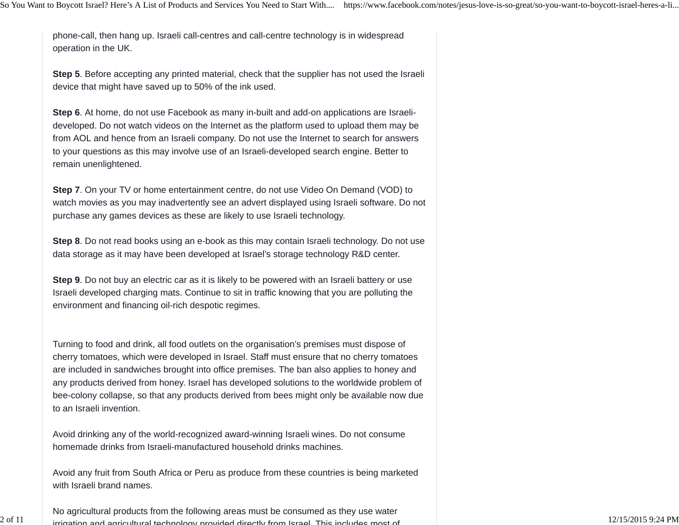phone-call, then hang up. Israeli call-centres and call-centre technology is in widespread operation in the UK.

**Step 5**. Before accepting any printed material, check that the supplier has not used the Israeli device that might have saved up to 50% of the ink used.

**Step 6**. At home, do not use Facebook as many in-built and add-on applications are Israelideveloped. Do not watch videos on the Internet as the platform used to upload them may be from AOL and hence from an Israeli company. Do not use the Internet to search for answers to your questions as this may involve use of an Israeli-developed search engine. Better to remain unenlightened.

**Step 7**. On your TV or home entertainment centre, do not use Video On Demand (VOD) to watch movies as you may inadvertently see an advert displayed using Israeli software. Do not purchase any games devices as these are likely to use Israeli technology.

**Step 8**. Do not read books using an e-book as this may contain Israeli technology. Do not use data storage as it may have been developed at Israel's storage technology R&D center.

**Step 9**. Do not buy an electric car as it is likely to be powered with an Israeli battery or use Israeli developed charging mats. Continue to sit in traffic knowing that you are polluting the environment and financing oil-rich despotic regimes.

Turning to food and drink, all food outlets on the organisation's premises must dispose of cherry tomatoes, which were developed in Israel. Staff must ensure that no cherry tomatoes are included in sandwiches brought into office premises. The ban also applies to honey and any products derived from honey. Israel has developed solutions to the worldwide problem of bee-colony collapse, so that any products derived from bees might only be available now due to an Israeli invention.

Avoid drinking any of the world-recognized award-winning Israeli wines. Do not consume homemade drinks from Israeli-manufactured household drinks machines.

Avoid any fruit from South Africa or Peru as produce from these countries is being marketed with Israeli brand names.

No agricultural products from the following areas must be consumed as they use water  $\frac{1}{1}$  irrigation and agricultural technology provided directly from Israel. This includes most of  $\frac{12}{15/20159}$   $\frac{12}{15/20159}$ 

2 of 11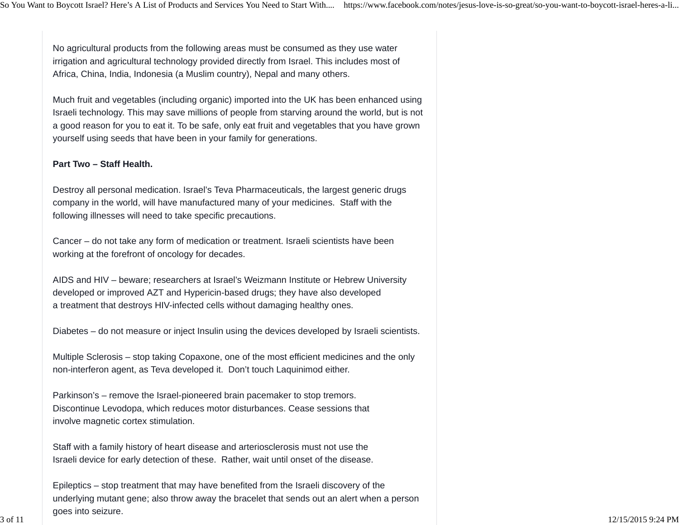No agricultural products from the following areas must be consumed as they use water irrigation and agricultural technology provided directly from Israel. This includes most of Africa, China, India, Indonesia (a Muslim country), Nepal and many others.

Much fruit and vegetables (including organic) imported into the UK has been enhanced using Israeli technology. This may save millions of people from starving around the world, but is not a good reason for you to eat it. To be safe, only eat fruit and vegetables that you have grown yourself using seeds that have been in your family for generations.

#### **Part Two – Staff Health.**

Destroy all personal medication. Israel's Teva Pharmaceuticals, the largest generic drugs company in the world, will have manufactured many of your medicines. Staff with the following illnesses will need to take specific precautions.

Cancer – do not take any form of medication or treatment. Israeli scientists have been working at the forefront of oncology for decades.

AIDS and HIV – beware; researchers at Israel's Weizmann Institute or Hebrew University developed or improved AZT and Hypericin-based drugs; they have also developed a treatment that destroys HIV-infected cells without damaging healthy ones.

Diabetes – do not measure or inject Insulin using the devices developed by Israeli scientists.

Multiple Sclerosis – stop taking Copaxone, one of the most efficient medicines and the only non-interferon agent, as Teva developed it. Don't touch Laquinimod either.

Parkinson's – remove the Israel-pioneered brain pacemaker to stop tremors. Discontinue Levodopa, which reduces motor disturbances. Cease sessions that involve magnetic cortex stimulation.

Staff with a family history of heart disease and arteriosclerosis must not use the Israeli device for early detection of these. Rather, wait until onset of the disease.

Epileptics – stop treatment that may have benefited from the Israeli discovery of the underlying mutant gene; also throw away the bracelet that sends out an alert when a person goes into seizure.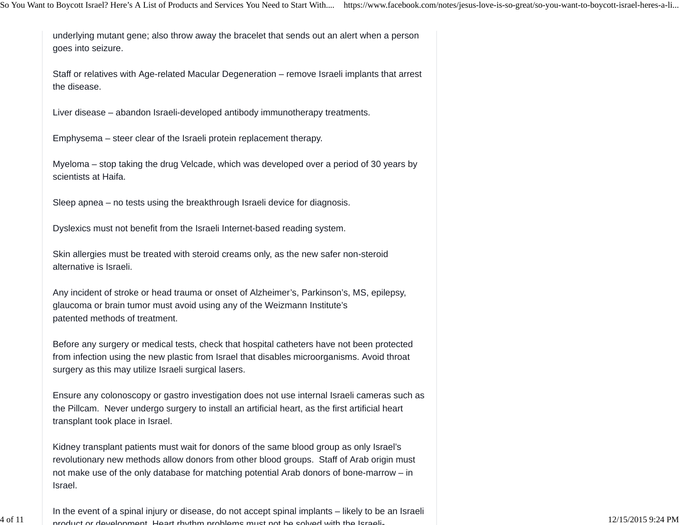underlying mutant gene; also throw away the bracelet that sends out an alert when a person goes into seizure.

Staff or relatives with Age-related Macular Degeneration – remove Israeli implants that arrest the disease.

Liver disease – abandon Israeli-developed antibody immunotherapy treatments.

Emphysema – steer clear of the Israeli protein replacement therapy.

Myeloma – stop taking the drug Velcade, which was developed over a period of 30 years by scientists at Haifa.

Sleep apnea – no tests using the breakthrough Israeli device for diagnosis.

Dyslexics must not benefit from the Israeli Internet-based reading system.

Skin allergies must be treated with steroid creams only, as the new safer non-steroid alternative is Israeli.

Any incident of stroke or head trauma or onset of Alzheimer's, Parkinson's, MS, epilepsy, glaucoma or brain tumor must avoid using any of the Weizmann Institute's patented methods of treatment.

Before any surgery or medical tests, check that hospital catheters have not been protected from infection using the new plastic from Israel that disables microorganisms. Avoid throat surgery as this may utilize Israeli surgical lasers.

Ensure any colonoscopy or gastro investigation does not use internal Israeli cameras such as the Pillcam. Never undergo surgery to install an artificial heart, as the first artificial heart transplant took place in Israel.

Kidney transplant patients must wait for donors of the same blood group as only Israel's revolutionary new methods allow donors from other blood groups. Staff of Arab origin must not make use of the only database for matching potential Arab donors of bone-marrow – in Israel.

In the event of a spinal injury or disease, do not accept spinal implants – likely to be an Israeli  $\frac{1}{2/15/2015}$  product or development. Heart rhythm problems must not be solved with the Israeli-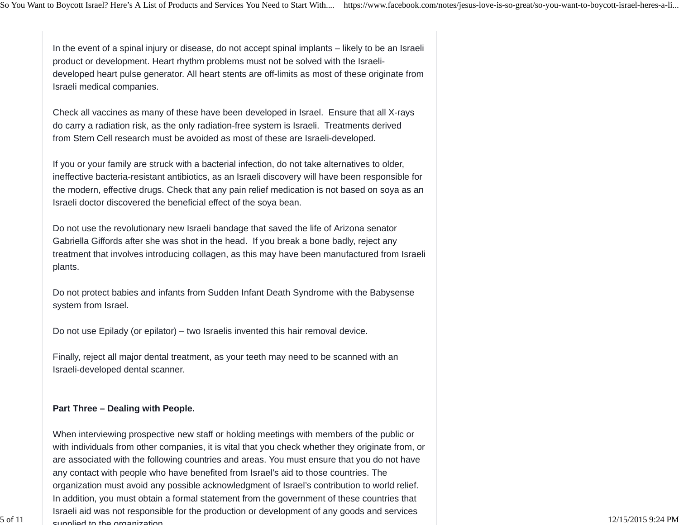In the event of a spinal injury or disease, do not accept spinal implants – likely to be an Israeli product or development. Heart rhythm problems must not be solved with the Israelideveloped heart pulse generator. All heart stents are off-limits as most of these originate from Israeli medical companies.

Check all vaccines as many of these have been developed in Israel. Ensure that all X-rays do carry a radiation risk, as the only radiation-free system is Israeli. Treatments derived from Stem Cell research must be avoided as most of these are Israeli-developed.

If you or your family are struck with a bacterial infection, do not take alternatives to older, ineffective bacteria-resistant antibiotics, as an Israeli discovery will have been responsible for the modern, effective drugs. Check that any pain relief medication is not based on soya as an Israeli doctor discovered the beneficial effect of the soya bean.

Do not use the revolutionary new Israeli bandage that saved the life of Arizona senator Gabriella Giffords after she was shot in the head. If you break a bone badly, reject any treatment that involves introducing collagen, as this may have been manufactured from Israeli plants.

Do not protect babies and infants from Sudden Infant Death Syndrome with the Babysense system from Israel.

Do not use Epilady (or epilator) – two Israelis invented this hair removal device.

Finally, reject all major dental treatment, as your teeth may need to be scanned with an Israeli-developed dental scanner.

#### **Part Three – Dealing with People.**

When interviewing prospective new staff or holding meetings with members of the public or with individuals from other companies, it is vital that you check whether they originate from, or are associated with the following countries and areas. You must ensure that you do not have any contact with people who have benefited from Israel's aid to those countries. The organization must avoid any possible acknowledgment of Israel's contribution to world relief. In addition, you must obtain a formal statement from the government of these countries that Israeli aid was not responsible for the production or development of any goods and services supplied to the organization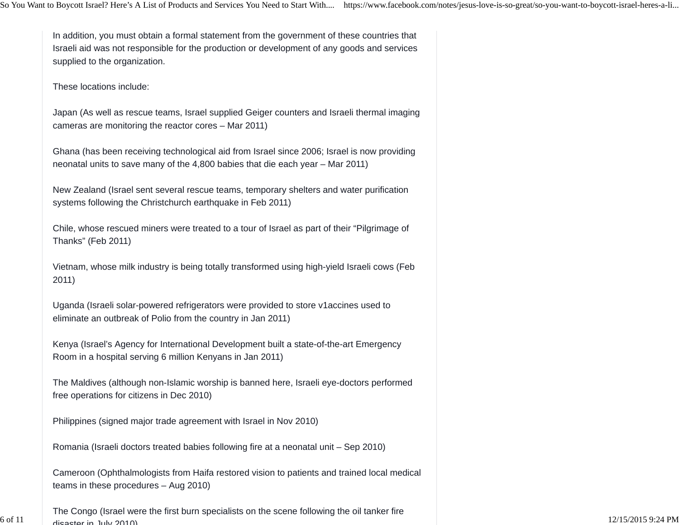In addition, you must obtain a formal statement from the government of these countries that Israeli aid was not responsible for the production or development of any goods and services supplied to the organization.

These locations include:

6 of 11

Japan (As well as rescue teams, Israel supplied Geiger counters and Israeli thermal imaging cameras are monitoring the reactor cores – Mar 2011)

Ghana (has been receiving technological aid from Israel since 2006; Israel is now providing neonatal units to save many of the 4,800 babies that die each year – Mar 2011)

New Zealand (Israel sent several rescue teams, temporary shelters and water purification systems following the Christchurch earthquake in Feb 2011)

Chile, whose rescued miners were treated to a tour of Israel as part of their "Pilgrimage of Thanks" (Feb 2011)

Vietnam, whose milk industry is being totally transformed using high-yield Israeli cows (Feb 2011)

Uganda (Israeli solar-powered refrigerators were provided to store v1accines used to eliminate an outbreak of Polio from the country in Jan 2011)

Kenya (Israel's Agency for International Development built a state-of-the-art Emergency Room in a hospital serving 6 million Kenyans in Jan 2011)

The Maldives (although non-Islamic worship is banned here, Israeli eye-doctors performed free operations for citizens in Dec 2010)

Philippines (signed major trade agreement with Israel in Nov 2010)

Romania (Israeli doctors treated babies following fire at a neonatal unit – Sep 2010)

Cameroon (Ophthalmologists from Haifa restored vision to patients and trained local medical teams in these procedures – Aug 2010)

The Congo (Israel were the first burn specialists on the scene following the oil tanker fire disaster in July 2010)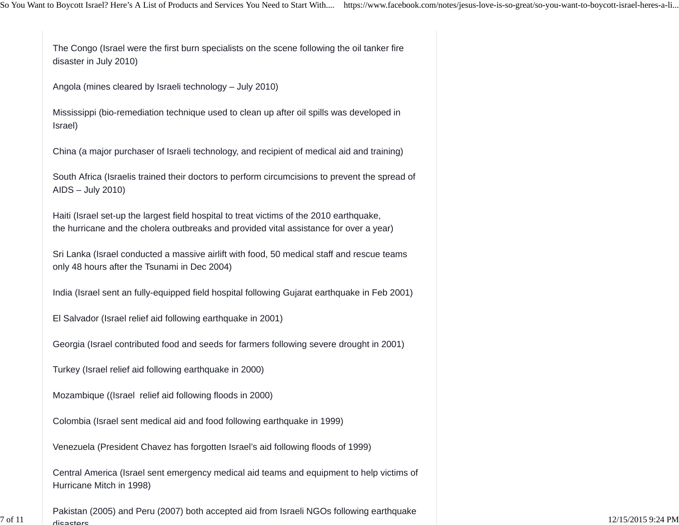The Congo (Israel were the first burn specialists on the scene following the oil tanker fire disaster in July 2010)

Angola (mines cleared by Israeli technology – July 2010)

Mississippi (bio-remediation technique used to clean up after oil spills was developed in Israel)

China (a major purchaser of Israeli technology, and recipient of medical aid and training)

South Africa (Israelis trained their doctors to perform circumcisions to prevent the spread of AIDS – July 2010)

Haiti (Israel set-up the largest field hospital to treat victims of the 2010 earthquake, the hurricane and the cholera outbreaks and provided vital assistance for over a year)

Sri Lanka (Israel conducted a massive airlift with food, 50 medical staff and rescue teams only 48 hours after the Tsunami in Dec 2004)

India (Israel sent an fully-equipped field hospital following Gujarat earthquake in Feb 2001)

El Salvador (Israel relief aid following earthquake in 2001)

Georgia (Israel contributed food and seeds for farmers following severe drought in 2001)

Turkey (Israel relief aid following earthquake in 2000)

Mozambique ((Israel relief aid following floods in 2000)

Colombia (Israel sent medical aid and food following earthquake in 1999)

Venezuela (President Chavez has forgotten Israel's aid following floods of 1999)

Central America (Israel sent emergency medical aid teams and equipment to help victims of Hurricane Mitch in 1998)

Pakistan (2005) and Peru (2007) both accepted aid from Israeli NGOs following earthquake dicootoro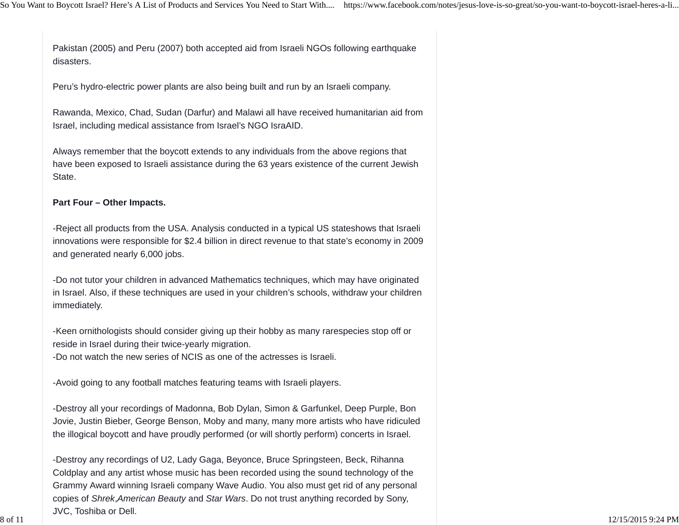Pakistan (2005) and Peru (2007) both accepted aid from Israeli NGOs following earthquake disasters.

Peru's hydro-electric power plants are also being built and run by an Israeli company.

Rawanda, Mexico, Chad, Sudan (Darfur) and Malawi all have received humanitarian aid from Israel, including medical assistance from Israel's NGO IsraAID.

Always remember that the boycott extends to any individuals from the above regions that have been exposed to Israeli assistance during the 63 years existence of the current Jewish State.

#### **Part Four – Other Impacts.**

-Reject all products from the USA. Analysis conducted in a typical US stateshows that Israeli innovations were responsible for \$2.4 billion in direct revenue to that state's economy in 2009 and generated nearly 6,000 jobs.

-Do not tutor your children in advanced Mathematics techniques, which may have originated in Israel. Also, if these techniques are used in your children's schools, withdraw your children immediately.

-Keen ornithologists should consider giving up their hobby as many rarespecies stop off or reside in Israel during their twice-yearly migration.

-Do not watch the new series of NCIS as one of the actresses is Israeli.

-Avoid going to any football matches featuring teams with Israeli players.

-Destroy all your recordings of Madonna, Bob Dylan, Simon & Garfunkel, Deep Purple, Bon Jovie, Justin Bieber, George Benson, Moby and many, many more artists who have ridiculed the illogical boycott and have proudly performed (or will shortly perform) concerts in Israel.

-Destroy any recordings of U2, Lady Gaga, Beyonce, Bruce Springsteen, Beck, Rihanna Coldplay and any artist whose music has been recorded using the sound technology of the Grammy Award winning Israeli company Wave Audio. You also must get rid of any personal copies of *Shrek*,*American Beauty* and *Star Wars*. Do not trust anything recorded by Sony, JVC, Toshiba or Dell.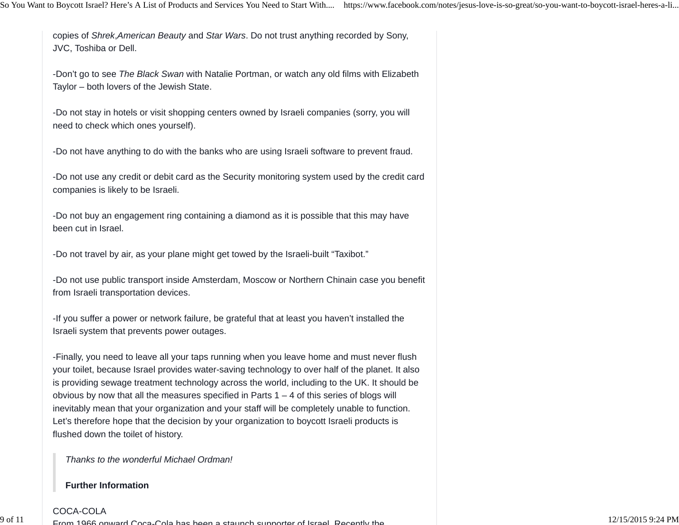copies of *Shrek*,*American Beauty* and *Star Wars*. Do not trust anything recorded by Sony, JVC, Toshiba or Dell.

-Don't go to see *The Black Swan* with Natalie Portman, or watch any old films with Elizabeth Taylor – both lovers of the Jewish State.

-Do not stay in hotels or visit shopping centers owned by Israeli companies (sorry, you will need to check which ones yourself).

-Do not have anything to do with the banks who are using Israeli software to prevent fraud.

-Do not use any credit or debit card as the Security monitoring system used by the credit card companies is likely to be Israeli.

-Do not buy an engagement ring containing a diamond as it is possible that this may have been cut in Israel.

-Do not travel by air, as your plane might get towed by the Israeli-built "Taxibot."

-Do not use public transport inside Amsterdam, Moscow or Northern Chinain case you benefit from Israeli transportation devices.

-If you suffer a power or network failure, be grateful that at least you haven't installed the Israeli system that prevents power outages.

-Finally, you need to leave all your taps running when you leave home and must never flush your toilet, because Israel provides water-saving technology to over half of the planet. It also is providing sewage treatment technology across the world, including to the UK. It should be obvious by now that all the measures specified in Parts  $1 - 4$  of this series of blogs will inevitably mean that your organization and your staff will be completely unable to function. Let's therefore hope that the decision by your organization to boycott Israeli products is flushed down the toilet of history.

*Thanks to the wonderful Michael Ordman!*

#### **Further Information**

 $\frac{1}{1}$  From 1966 onward Coca-Cola has been a staunch supporter of Israel Recently the  $\frac{12}{15/20159}$   $\frac{12}{15/20159}$ :24 PM